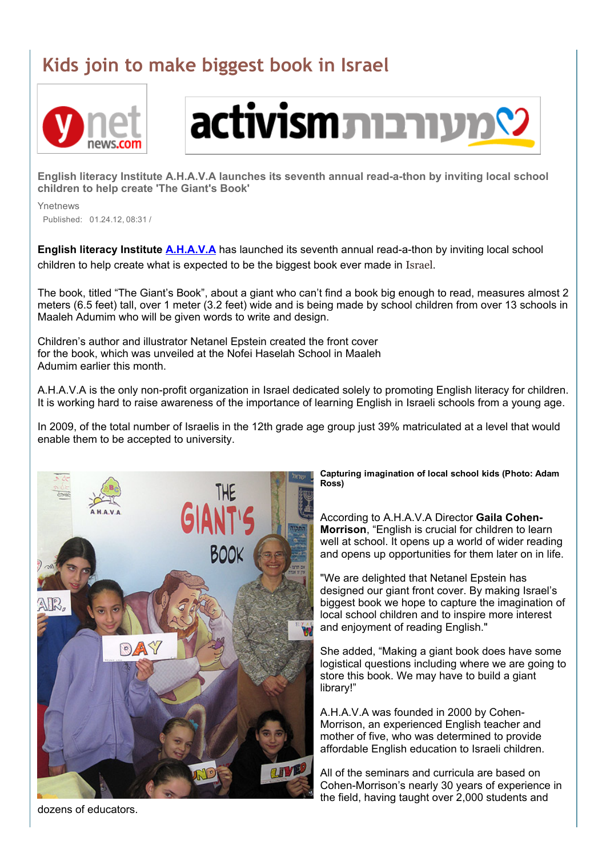## Kids join to make biggest book in Israel





English literacy Institute A.H.A.V.A launches its seventh annual read-a-thon by inviting local school children to help create 'The Giant's Book'

Ynetnews

Published: 01.24.12, 08:31 /

English literacy Institute [A.H.A.V.A](http://ahava-english.org/) has launched its seventh annual read-a-thon by inviting local school children to help create what is expected to be the biggest book ever made in Israel.

The book, titled "The Giant's Book", about a giant who can't find a book big enough to read, measures almost 2 meters (6.5 feet) tall, over 1 meter (3.2 feet) wide and is being made by school children from over 13 schools in Maaleh Adumim who will be given words to write and design.

Children's author and illustrator Netanel Epstein created the front cover for the book, which was unveiled at the Nofei Haselah School in Maaleh Adumim earlier this month.

A.H.A.V.A is the only non-profit organization in Israel dedicated solely to promoting English literacy for children. It is working hard to raise awareness of the importance of learning English in Israeli schools from a young age.

In 2009, of the total number of Israelis in the 12th grade age group just 39% matriculated at a level that would enable them to be accepted to university.



Capturing imagination of local school kids (Photo: Adam Ross)

According to A.H.A.V.A Director Gaila Cohen-Morrison, "English is crucial for children to learn well at school. It opens up a world of wider reading and opens up opportunities for them later on in life.

"We are delighted that Netanel Epstein has designed our giant front cover. By making Israel's biggest book we hope to capture the imagination of local school children and to inspire more interest and enjoyment of reading English."

She added, "Making a giant book does have some logistical questions including where we are going to store this book. We may have to build a giant library!"

A.H.A.V.A was founded in 2000 by Cohen-Morrison, an experienced English teacher and mother of five, who was determined to provide affordable English education to Israeli children.

All of the seminars and curricula are based on Cohen-Morrison's nearly 30 years of experience in the field, having taught over 2,000 students and

dozens of educators.